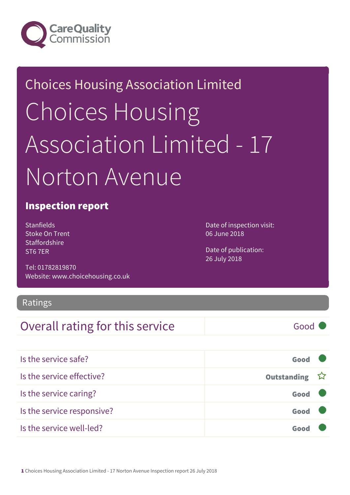

# Choices Housing Association Limited Choices Housing Association Limited - 17 Norton Avenue

#### Inspection report

Stanfields Stoke On Trent **Staffordshire** ST6 7ER

Tel: 01782819870 Website: www.choicehousing.co.uk Date of inspection visit: 06 June 2018

Date of publication: 26 July 2018

#### Ratings

#### Overall rating for this service Fig. 600 Good

| Is the service safe?       | Good          |  |
|----------------------------|---------------|--|
| Is the service effective?  | Outstanding ☆ |  |
| Is the service caring?     | Good          |  |
| Is the service responsive? | Good          |  |
| Is the service well-led?   |               |  |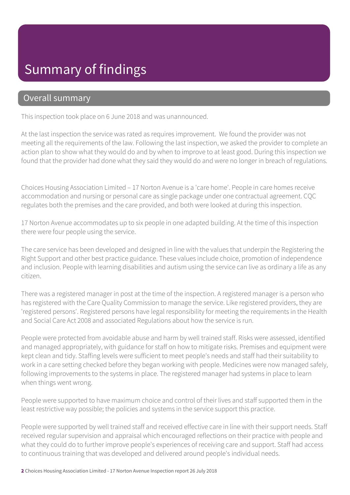### Summary of findings

#### Overall summary

This inspection took place on 6 June 2018 and was unannounced.

At the last inspection the service was rated as requires improvement. We found the provider was not meeting all the requirements of the law. Following the last inspection, we asked the provider to complete an action plan to show what they would do and by when to improve to at least good. During this inspection we found that the provider had done what they said they would do and were no longer in breach of regulations.

Choices Housing Association Limited – 17 Norton Avenue is a 'care home'. People in care homes receive accommodation and nursing or personal care as single package under one contractual agreement. CQC regulates both the premises and the care provided, and both were looked at during this inspection.

17 Norton Avenue accommodates up to six people in one adapted building. At the time of this inspection there were four people using the service.

The care service has been developed and designed in line with the values that underpin the Registering the Right Support and other best practice guidance. These values include choice, promotion of independence and inclusion. People with learning disabilities and autism using the service can live as ordinary a life as any citizen.

There was a registered manager in post at the time of the inspection. A registered manager is a person who has registered with the Care Quality Commission to manage the service. Like registered providers, they are 'registered persons'. Registered persons have legal responsibility for meeting the requirements in the Health and Social Care Act 2008 and associated Regulations about how the service is run.

People were protected from avoidable abuse and harm by well trained staff. Risks were assessed, identified and managed appropriately, with guidance for staff on how to mitigate risks. Premises and equipment were kept clean and tidy. Staffing levels were sufficient to meet people's needs and staff had their suitability to work in a care setting checked before they began working with people. Medicines were now managed safely, following improvements to the systems in place. The registered manager had systems in place to learn when things went wrong.

People were supported to have maximum choice and control of their lives and staff supported them in the least restrictive way possible; the policies and systems in the service support this practice.

People were supported by well trained staff and received effective care in line with their support needs. Staff received regular supervision and appraisal which encouraged reflections on their practice with people and what they could do to further improve people's experiences of receiving care and support. Staff had access to continuous training that was developed and delivered around people's individual needs.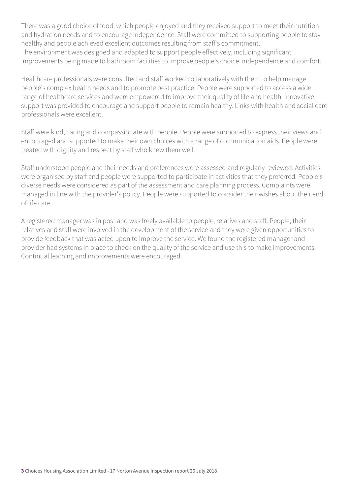There was a good choice of food, which people enjoyed and they received support to meet their nutrition and hydration needs and to encourage independence. Staff were committed to supporting people to stay healthy and people achieved excellent outcomes resulting from staff's commitment. The environment was designed and adapted to support people effectively, including significant improvements being made to bathroom facilities to improve people's choice, independence and comfort.

Healthcare professionals were consulted and staff worked collaboratively with them to help manage people's complex health needs and to promote best practice. People were supported to access a wide range of healthcare services and were empowered to improve their quality of life and health. Innovative support was provided to encourage and support people to remain healthy. Links with health and social care professionals were excellent.

Staff were kind, caring and compassionate with people. People were supported to express their views and encouraged and supported to make their own choices with a range of communication aids. People were treated with dignity and respect by staff who knew them well.

Staff understood people and their needs and preferences were assessed and regularly reviewed. Activities were organised by staff and people were supported to participate in activities that they preferred. People's diverse needs were considered as part of the assessment and care planning process. Complaints were managed in line with the provider's policy. People were supported to consider their wishes about their end of life care.

A registered manager was in post and was freely available to people, relatives and staff. People, their relatives and staff were involved in the development of the service and they were given opportunities to provide feedback that was acted upon to improve the service. We found the registered manager and provider had systems in place to check on the quality of the service and use this to make improvements. Continual learning and improvements were encouraged.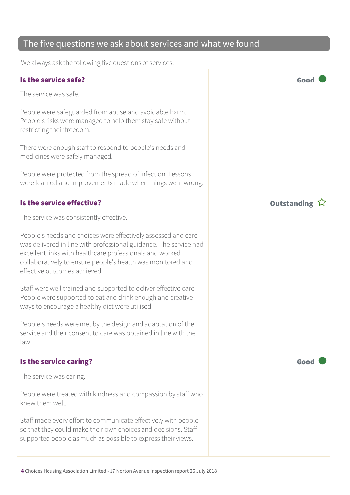#### The five questions we ask about services and what we found

We always ask the following five questions of services.

#### Is the service safe? Good The service was safe. People were safeguarded from abuse and avoidable harm. People's risks were managed to help them stay safe without restricting their freedom. There were enough staff to respond to people's needs and medicines were safely managed. People were protected from the spread of infection. Lessons were learned and improvements made when things went wrong. Is the service effective? In the service effective? The service was consistently effective. People's needs and choices were effectively assessed and care was delivered in line with professional guidance. The service had excellent links with healthcare professionals and worked collaboratively to ensure people's health was monitored and effective outcomes achieved. Staff were well trained and supported to deliver effective care. People were supported to eat and drink enough and creative ways to encourage a healthy diet were utilised. People's needs were met by the design and adaptation of the service and their consent to care was obtained in line with the law. Is the service caring? The service caring? The service was caring. People were treated with kindness and compassion by staff who knew them well. Staff made every effort to communicate effectively with people so that they could make their own choices and decisions. Staff supported people as much as possible to express their views.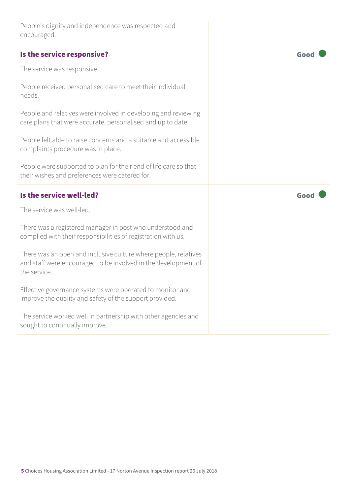| People's dignity and independence was respected and |  |
|-----------------------------------------------------|--|
| encouraged.                                         |  |

| Is the service responsive?                                                                                                                        | Goo  |
|---------------------------------------------------------------------------------------------------------------------------------------------------|------|
| The service was responsive.                                                                                                                       |      |
| People received personalised care to meet their individual<br>needs.                                                                              |      |
| People and relatives were involved in developing and reviewing<br>care plans that were accurate, personalised and up to date.                     |      |
| People felt able to raise concerns and a suitable and accessible<br>complaints procedure was in place.                                            |      |
| People were supported to plan for their end of life care so that<br>their wishes and preferences were catered for.                                |      |
| Is the service well-led?                                                                                                                          | Good |
| The service was well-led.                                                                                                                         |      |
| There was a registered manager in post who understood and<br>complied with their responsibilities of registration with us.                        |      |
| There was an open and inclusive culture where people, relatives<br>and staff were encouraged to be involved in the development of<br>the service. |      |
| Effective governance systems were operated to monitor and<br>improve the quality and safety of the support provided.                              |      |
| The service worked well in partnership with other agencies and<br>sought to continually improve.                                                  |      |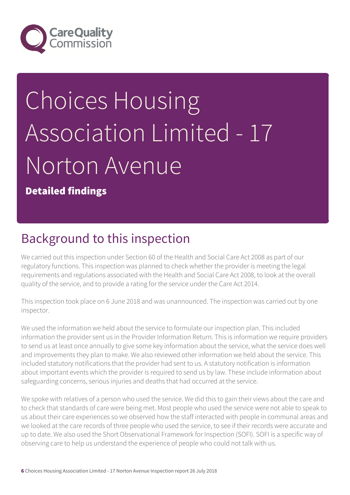

# Choices Housing Association Limited - 17 Norton Avenue

Detailed findings

### Background to this inspection

We carried out this inspection under Section 60 of the Health and Social Care Act 2008 as part of our regulatory functions. This inspection was planned to check whether the provider is meeting the legal requirements and regulations associated with the Health and Social Care Act 2008, to look at the overall quality of the service, and to provide a rating for the service under the Care Act 2014.

This inspection took place on 6 June 2018 and was unannounced. The inspection was carried out by one inspector.

We used the information we held about the service to formulate our inspection plan. This included information the provider sent us in the Provider Information Return. This is information we require providers to send us at least once annually to give some key information about the service, what the service does well and improvements they plan to make. We also reviewed other information we held about the service. This included statutory notifications that the provider had sent to us. A statutory notification is information about important events which the provider is required to send us by law. These include information about safeguarding concerns, serious injuries and deaths that had occurred at the service.

We spoke with relatives of a person who used the service. We did this to gain their views about the care and to check that standards of care were being met. Most people who used the service were not able to speak to us about their care experiences so we observed how the staff interacted with people in communal areas and we looked at the care records of three people who used the service, to see if their records were accurate and up to date. We also used the Short Observational Framework for Inspection (SOFI). SOFI is a specific way of observing care to help us understand the experience of people who could not talk with us.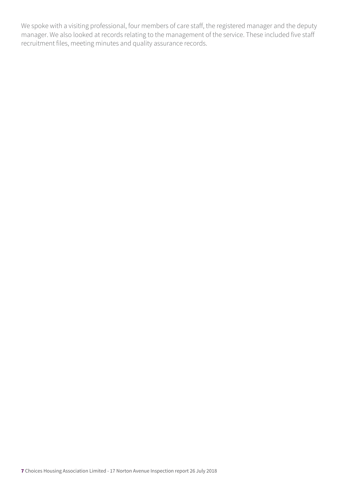We spoke with a visiting professional, four members of care staff, the registered manager and the deputy manager. We also looked at records relating to the management of the service. These included five staff recruitment files, meeting minutes and quality assurance records.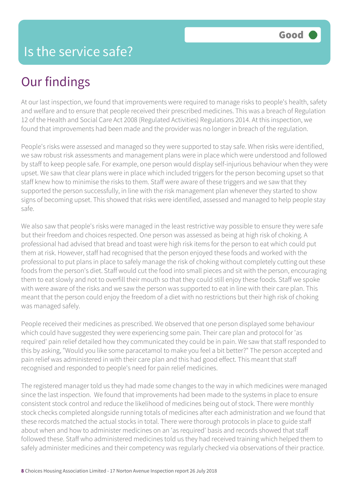## Our findings

At our last inspection, we found that improvements were required to manage risks to people's health, safety and welfare and to ensure that people received their prescribed medicines. This was a breach of Regulation 12 of the Health and Social Care Act 2008 (Regulated Activities) Regulations 2014. At this inspection, we found that improvements had been made and the provider was no longer in breach of the regulation.

People's risks were assessed and managed so they were supported to stay safe. When risks were identified, we saw robust risk assessments and management plans were in place which were understood and followed by staff to keep people safe. For example, one person would display self-injurious behaviour when they were upset. We saw that clear plans were in place which included triggers for the person becoming upset so that staff knew how to minimise the risks to them. Staff were aware of these triggers and we saw that they supported the person successfully, in line with the risk management plan whenever they started to show signs of becoming upset. This showed that risks were identified, assessed and managed to help people stay safe.

We also saw that people's risks were managed in the least restrictive way possible to ensure they were safe but their freedom and choices respected. One person was assessed as being at high risk of choking. A professional had advised that bread and toast were high risk items for the person to eat which could put them at risk. However, staff had recognised that the person enjoyed these foods and worked with the professional to put plans in place to safely manage the risk of choking without completely cutting out these foods from the person's diet. Staff would cut the food into small pieces and sit with the person, encouraging them to eat slowly and not to overfill their mouth so that they could still enjoy these foods. Staff we spoke with were aware of the risks and we saw the person was supported to eat in line with their care plan. This meant that the person could enjoy the freedom of a diet with no restrictions but their high risk of choking was managed safely.

People received their medicines as prescribed. We observed that one person displayed some behaviour which could have suggested they were experiencing some pain. Their care plan and protocol for 'as required' pain relief detailed how they communicated they could be in pain. We saw that staff responded to this by asking, "Would you like some paracetamol to make you feel a bit better?" The person accepted and pain relief was administered in with their care plan and this had good effect. This meant that staff recognised and responded to people's need for pain relief medicines.

The registered manager told us they had made some changes to the way in which medicines were managed since the last inspection. We found that improvements had been made to the systems in place to ensure consistent stock control and reduce the likelihood of medicines being out of stock. There were monthly stock checks completed alongside running totals of medicines after each administration and we found that these records matched the actual stocks in total. There were thorough protocols in place to guide staff about when and how to administer medicines on an 'as required' basis and records showed that staff followed these. Staff who administered medicines told us they had received training which helped them to safely administer medicines and their competency was regularly checked via observations of their practice.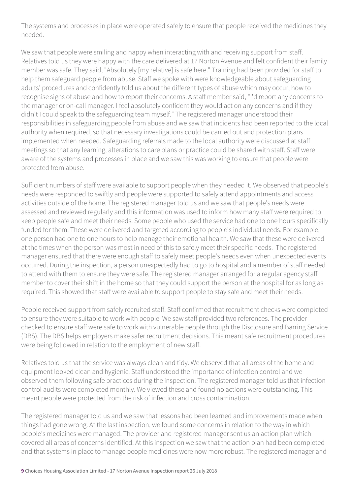The systems and processes in place were operated safely to ensure that people received the medicines they needed.

We saw that people were smiling and happy when interacting with and receiving support from staff. Relatives told us they were happy with the care delivered at 17 Norton Avenue and felt confident their family member was safe. They said, "Absolutely [my relative] is safe here." Training had been provided for staff to help them safeguard people from abuse. Staff we spoke with were knowledgeable about safeguarding adults' procedures and confidently told us about the different types of abuse which may occur, how to recognise signs of abuse and how to report their concerns. A staff member said, "I'd report any concerns to the manager or on-call manager. I feel absolutely confident they would act on any concerns and if they didn't I could speak to the safeguarding team myself." The registered manager understood their responsibilities in safeguarding people from abuse and we saw that incidents had been reported to the local authority when required, so that necessary investigations could be carried out and protection plans implemented when needed. Safeguarding referrals made to the local authority were discussed at staff meetings so that any learning, alterations to care plans or practice could be shared with staff. Staff were aware of the systems and processes in place and we saw this was working to ensure that people were protected from abuse.

Sufficient numbers of staff were available to support people when they needed it. We observed that people's needs were responded to swiftly and people were supported to safely attend appointments and access activities outside of the home. The registered manager told us and we saw that people's needs were assessed and reviewed regularly and this information was used to inform how many staff were required to keep people safe and meet their needs. Some people who used the service had one to one hours specifically funded for them. These were delivered and targeted according to people's individual needs. For example, one person had one to one hours to help manage their emotional health. We saw that these were delivered at the times when the person was most in need of this to safely meet their specific needs. The registered manager ensured that there were enough staff to safely meet people's needs even when unexpected events occurred. During the inspection, a person unexpectedly had to go to hospital and a member of staff needed to attend with them to ensure they were safe. The registered manager arranged for a regular agency staff member to cover their shift in the home so that they could support the person at the hospital for as long as required. This showed that staff were available to support people to stay safe and meet their needs.

People received support from safely recruited staff. Staff confirmed that recruitment checks were completed to ensure they were suitable to work with people. We saw staff provided two references. The provider checked to ensure staff were safe to work with vulnerable people through the Disclosure and Barring Service (DBS). The DBS helps employers make safer recruitment decisions. This meant safe recruitment procedures were being followed in relation to the employment of new staff.

Relatives told us that the service was always clean and tidy. We observed that all areas of the home and equipment looked clean and hygienic. Staff understood the importance of infection control and we observed them following safe practices during the inspection. The registered manager told us that infection control audits were completed monthly. We viewed these and found no actions were outstanding. This meant people were protected from the risk of infection and cross contamination.

The registered manager told us and we saw that lessons had been learned and improvements made when things had gone wrong. At the last inspection, we found some concerns in relation to the way in which people's medicines were managed. The provider and registered manager sent us an action plan which covered all areas of concerns identified. At this inspection we saw that the action plan had been completed and that systems in place to manage people medicines were now more robust. The registered manager and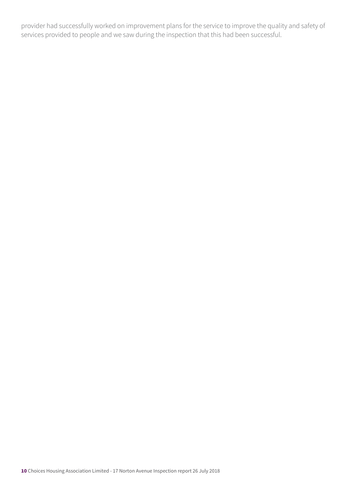provider had successfully worked on improvement plans for the service to improve the quality and safety of services provided to people and we saw during the inspection that this had been successful.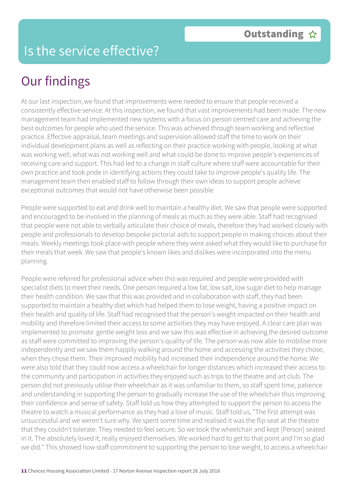#### Is the service effective?

# Our findings

At our last inspection, we found that improvements were needed to ensure that people received a consistently effective service. At this inspection, we found that vast improvements had been made. The new management team had implemented new systems with a focus on person centred care and achieving the best outcomes for people who used the service. This was achieved through team working and reflective practice. Effective appraisal, team meetings and supervision allowed staff the time to work on their individual development plans as well as reflecting on their practice working with people, looking at what was working well, what was not working well and what could be done to improve people's experiences of receiving care and support. This had led to a change in staff culture where staff were accountable for their own practice and took pride in identifying actions they could take to improve people's quality life. The management team then enabled staff to follow through their own ideas to support people achieve exceptional outcomes that would not have otherwise been possible

People were supported to eat and drink well to maintain a healthy diet. We saw that people were supported and encouraged to be involved in the planning of meals as much as they were able. Staff had recognised that people were not able to verbally articulate their choice of meals, therefore they had worked closely with people and professionals to develop bespoke pictorial aids to support people in making choices about their meals. Weekly meetings took place with people where they were asked what they would like to purchase for their meals that week. We saw that people's known likes and dislikes were incorporated into the menu planning.

People were referred for professional advice when this was required and people were provided with specialist diets to meet their needs. One person required a low fat, low salt, low sugar diet to help manage their health condition. We saw that this was provided and in collaboration with staff, they had been supported to maintain a healthy diet which had helped them to lose weight, having a positive impact on their health and quality of life. Staff had recognised that the person's weight impacted on their health and mobility and therefore limited their access to some activities they may have enjoyed. A clear care plan was implemented to promote gentle weight loss and we saw this was effective in achieving the desired outcome as staff were committed to improving the person's quality of life. The person was now able to mobilise more independently and we saw them happily walking around the home and accessing the activities they chose, when they chose them. Their improved mobility had increased their independence around the home. We were also told that they could now access a wheelchair for longer distances which increased their access to the community and participation in activities they enjoyed such as trips to the theatre and art club. The person did not previously utilise their wheelchair as it was unfamiliar to them, so staff spent time, patience and understanding in supporting the person to gradually increase the use of the wheelchair thus improving their confidence and sense of safety. Staff told us how they attempted to support the person to access the theatre to watch a musical performance as they had a love of music. Staff told us, "The first attempt was unsuccessful and we weren't sure why. We spent some time and realised it was the flip seat at the theatre that they couldn't tolerate. They needed to feel secure. So we took the wheelchair and kept [Person] seated in it. The absolutely loved it, really enjoyed themselves. We worked hard to get to that point and I'm so glad we did." This showed how staff commitment to supporting the person to lose weight, to access a wheelchair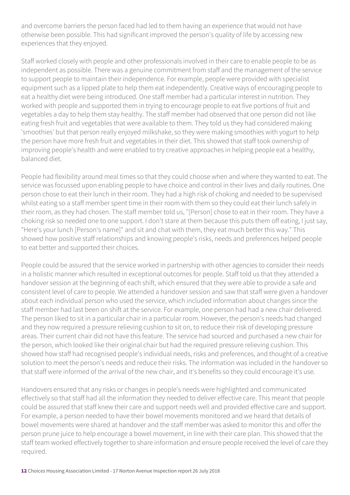and overcome barriers the person faced had led to them having an experience that would not have otherwise been possible. This had significant improved the person's quality of life by accessing new experiences that they enjoyed.

Staff worked closely with people and other professionals involved in their care to enable people to be as independent as possible. There was a genuine commitment from staff and the management of the service to support people to maintain their independence. For example, people were provided with specialist equipment such as a lipped plate to help them eat independently. Creative ways of encouraging people to eat a healthy diet were being introduced. One staff member had a particular interest in nutrition. They worked with people and supported them in trying to encourage people to eat five portions of fruit and vegetables a day to help them stay healthy. The staff member had observed that one person did not like eating fresh fruit and vegetables that were available to them. They told us they had considered making 'smoothies' but that person really enjoyed milkshake, so they were making smoothies with yogurt to help the person have more fresh fruit and vegetables in their diet. This showed that staff took ownership of improving people's health and were enabled to try creative approaches in helping people eat a healthy, balanced diet.

People had flexibility around meal times so that they could choose when and where they wanted to eat. The service was focussed upon enabling people to have choice and control in their lives and daily routines. One person chose to eat their lunch in their room. They had a high risk of choking and needed to be supervised whilst eating so a staff member spent time in their room with them so they could eat their lunch safely in their room, as they had chosen. The staff member told us, "[Person] chose to eat in their room. They have a choking risk so needed one to one support. I don't stare at them because this puts them off eating, I just say, "Here's your lunch [Person's name]" and sit and chat with them, they eat much better this way." This showed how positive staff relationships and knowing people's risks, needs and preferences helped people to eat better and supported their choices.

People could be assured that the service worked in partnership with other agencies to consider their needs in a holistic manner which resulted in exceptional outcomes for people. Staff told us that they attended a handover session at the beginning of each shift, which ensured that they were able to provide a safe and consistent level of care to people. We attended a handover session and saw that staff were given a handover about each individual person who used the service, which included information about changes since the staff member had last been on shift at the service. For example, one person had had a new chair delivered. The person liked to sit in a particular chair in a particular room. However, the person's needs had changed and they now required a pressure relieving cushion to sit on, to reduce their risk of developing pressure areas. Their current chair did not have this feature. The service had sourced and purchased a new chair for the person, which looked like their original chair but had the required pressure relieving cushion. This showed how staff had recognised people's individual needs, risks and preferences, and thought of a creative solution to meet the person's needs and reduce their risks. The information was included in the handover so that staff were informed of the arrival of the new chair, and it's benefits so they could encourage it's use.

Handovers ensured that any risks or changes in people's needs were highlighted and communicated effectively so that staff had all the information they needed to deliver effective care. This meant that people could be assured that staff knew their care and support needs well and provided effective care and support. For example, a person needed to have their bowel movements monitored and we heard that details of bowel movements were shared at handover and the staff member was asked to monitor this and offer the person prune juice to help encourage a bowel movement, in line with their care plan. This showed that the staff team worked effectively together to share information and ensure people received the level of care they required.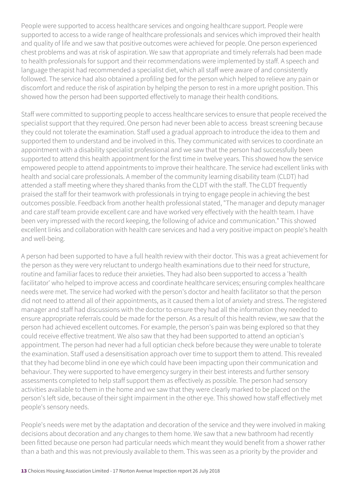People were supported to access healthcare services and ongoing healthcare support. People were supported to access to a wide range of healthcare professionals and services which improved their health and quality of life and we saw that positive outcomes were achieved for people. One person experienced chest problems and was at risk of aspiration. We saw that appropriate and timely referrals had been made to health professionals for support and their recommendations were implemented by staff. A speech and language therapist had recommended a specialist diet, which all staff were aware of and consistently followed. The service had also obtained a profiling bed for the person which helped to relieve any pain or discomfort and reduce the risk of aspiration by helping the person to rest in a more upright position. This showed how the person had been supported effectively to manage their health conditions.

Staff were committed to supporting people to access healthcare services to ensure that people received the specialist support that they required. One person had never been able to access breast screening because they could not tolerate the examination. Staff used a gradual approach to introduce the idea to them and supported them to understand and be involved in this. They communicated with services to coordinate an appointment with a disability specialist professional and we saw that the person had successfully been supported to attend this health appointment for the first time in twelve years. This showed how the service empowered people to attend appointments to improve their healthcare. The service had excellent links with health and social care professionals. A member of the community learning disability team (CLDT) had attended a staff meeting where they shared thanks from the CLDT with the staff. The CLDT frequently praised the staff for their teamwork with professionals in trying to engage people in achieving the best outcomes possible. Feedback from another health professional stated, "The manager and deputy manager and care staff team provide excellent care and have worked very effectively with the health team. I have been very impressed with the record keeping, the following of advice and communication." This showed excellent links and collaboration with health care services and had a very positive impact on people's health and well-being.

A person had been supported to have a full health review with their doctor. This was a great achievement for the person as they were very reluctant to undergo health examinations due to their need for structure, routine and familiar faces to reduce their anxieties. They had also been supported to access a 'health facilitator' who helped to improve access and coordinate healthcare services; ensuring complex healthcare needs were met. The service had worked with the person's doctor and health facilitator so that the person did not need to attend all of their appointments, as it caused them a lot of anxiety and stress. The registered manager and staff had discussions with the doctor to ensure they had all the information they needed to ensure appropriate referrals could be made for the person. As a result of this health review, we saw that the person had achieved excellent outcomes. For example, the person's pain was being explored so that they could receive effective treatment. We also saw that they had been supported to attend an optician's appointment. The person had never had a full optician check before because they were unable to tolerate the examination. Staff used a desensitisation approach over time to support them to attend. This revealed that they had become blind in one eye which could have been impacting upon their communication and behaviour. They were supported to have emergency surgery in their best interests and further sensory assessments completed to help staff support them as effectively as possible. The person had sensory activities available to them in the home and we saw that they were clearly marked to be placed on the person's left side, because of their sight impairment in the other eye. This showed how staff effectively met people's sensory needs.

People's needs were met by the adaptation and decoration of the service and they were involved in making decisions about decoration and any changes to them home. We saw that a new bathroom had recently been fitted because one person had particular needs which meant they would benefit from a shower rather than a bath and this was not previously available to them. This was seen as a priority by the provider and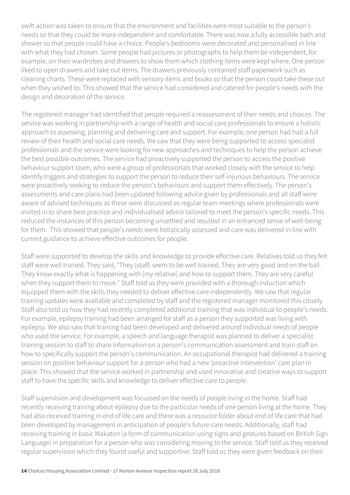swift action was taken to ensure that the environment and facilities were most suitable to the person's needs so that they could be more independent and comfortable. There was now a fully accessible bath and shower so that people could have a choice. People's bedrooms were decorated and personalised in line with what they had chosen. Some people had pictures or photographs to help them be independent, for example, on their wardrobes and drawers to show them which clothing items were kept where. One person liked to open drawers and take out items. The drawers previously contained staff paperwork such as cleaning charts. These were replaced with sensory items and books so that the person could take these out when they wished to. This showed that the service had considered and catered for people's needs with the design and decoration of the service.

The registered manager had identified that people required a reassessment of their needs and choices. The service was working in partnership with a range of health and social care professionals to ensure a holistic approach to assessing, planning and delivering care and support. For example, one person had had a full review of their health and social care needs. We saw that they were being supported to access specialist professionals and the service were looking for new approaches and techniques to help the person achieve the best possible outcomes. The service had proactively supported the person to access the positive behaviour support team, who were a group of professionals that worked closely with the service to help identify triggers and strategies to support the person to reduce their self-injurious behaviours. The service were proactively seeking to reduce the person's behaviours and support them effectively. The person's assessments and care plans had been updated following advice given by professionals and all staff were aware of advised techniques as these were discussed as regular team meetings where professionals were invited in to share best practice and individualised advice tailored to meet the person's specific needs. This reduced the instances of this person becoming unsettled and resulted in an enhanced sense of well-being for them. This showed that people's needs were holistically assessed and care was delivered in line with current guidance to achieve effective outcomes for people.

Staff were supported to develop the skills and knowledge to provide effective care. Relatives told us they felt staff were well trained. They said, "They (staff) seem to be well trained. They are very good and on the ball. They know exactly what is happening with [my relative] and how to support them. They are very careful when they support them to move." Staff told us they were provided with a thorough induction which equipped them with the skills they needed to deliver effective care independently. We saw that regular training updates were available and completed by staff and the registered manager monitored this closely. Staff also told us how they had recently completed additional training that was individual to people's needs. For example, epilepsy training had been arranged for staff as a person they supported was living with epilepsy. We also saw that training had been developed and delivered around individual needs of people who used the service. For example, a speech and language therapist was planned to deliver a specialist training session to staff to share information on a person's communication assessment and train staff on how to specifically support the person's communication. An occupational therapist had delivered a training session on positive behaviour support for a person who had a new 'proactive intervention' care plan in place. This showed that the service worked in partnership and used innovative and creative ways to support staff to have the specific skills and knowledge to deliver effective care to people.

Staff supervision and development was focussed on the needs of people living in the home. Staff had recently receiving training about epilepsy due to the particular needs of one person living at the home. They had also received training in end of life care and there was a resource folder about end of life care that had been developed by management in anticipation of people's future care needs. Additionally, staff had receiving training in basic Makaton (a form of communication using signs and gestures based on British Sign Language) in preparation for a person who was considering moving to the service. Staff told us they received regular supervision which they found useful and supportive. Staff told us they were given feedback on their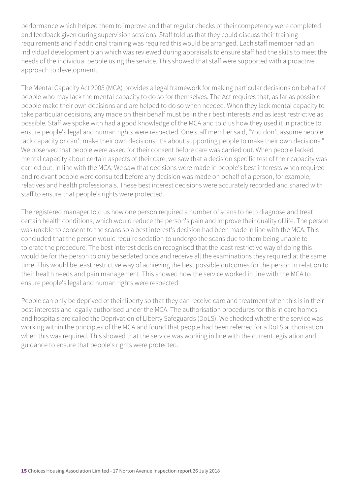performance which helped them to improve and that regular checks of their competency were completed and feedback given during supervision sessions. Staff told us that they could discuss their training requirements and if additional training was required this would be arranged. Each staff member had an individual development plan which was reviewed during appraisals to ensure staff had the skills to meet the needs of the individual people using the service. This showed that staff were supported with a proactive approach to development.

The Mental Capacity Act 2005 (MCA) provides a legal framework for making particular decisions on behalf of people who may lack the mental capacity to do so for themselves. The Act requires that, as far as possible, people make their own decisions and are helped to do so when needed. When they lack mental capacity to take particular decisions, any made on their behalf must be in their best interests and as least restrictive as possible. Staff we spoke with had a good knowledge of the MCA and told us how they used it in practice to ensure people's legal and human rights were respected. One staff member said, "You don't assume people lack capacity or can't make their own decisions. It's about supporting people to make their own decisions." We observed that people were asked for their consent before care was carried out. When people lacked mental capacity about certain aspects of their care, we saw that a decision specific test of their capacity was carried out, in line with the MCA. We saw that decisions were made in people's best interests when required and relevant people were consulted before any decision was made on behalf of a person, for example, relatives and health professionals. These best interest decisions were accurately recorded and shared with staff to ensure that people's rights were protected.

The registered manager told us how one person required a number of scans to help diagnose and treat certain health conditions, which would reduce the person's pain and improve their quality of life. The person was unable to consent to the scans so a best interest's decision had been made in line with the MCA. This concluded that the person would require sedation to undergo the scans due to them being unable to tolerate the procedure. The best interest decision recognised that the least restrictive way of doing this would be for the person to only be sedated once and receive all the examinations they required at the same time. This would be least restrictive way of achieving the best possible outcomes for the person in relation to their health needs and pain management. This showed how the service worked in line with the MCA to ensure people's legal and human rights were respected.

People can only be deprived of their liberty so that they can receive care and treatment when this is in their best interests and legally authorised under the MCA. The authorisation procedures for this in care homes and hospitals are called the Deprivation of Liberty Safeguards (DoLS). We checked whether the service was working within the principles of the MCA and found that people had been referred for a DoLS authorisation when this was required. This showed that the service was working in line with the current legislation and guidance to ensure that people's rights were protected.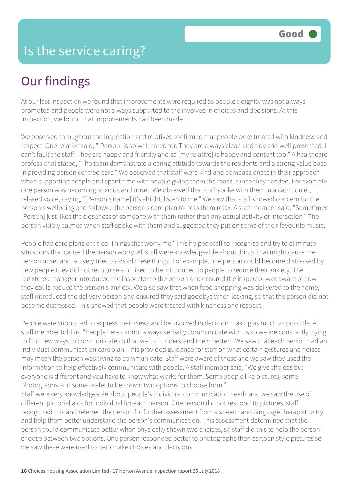#### Is the service caring?

### Our findings

At our last inspection we found that improvements were required as people's dignity was not always promoted and people were not always supported to the involved in choices and decisions. At this inspection, we found that improvements had been made.

We observed throughout the inspection and relatives confirmed that people were treated with kindness and respect. One relative said, "[Person] is so well cared for. They are always clean and tidy and well presented. I can't fault the staff. They are happy and friendly and so [my relative] is happy and content too." A healthcare professional stated, "The team demonstrate a caring attitude towards the residents and a strong value base in providing person centred care." We observed that staff were kind and compassionate in their approach when supporting people and spent time with people giving them the reassurance they needed. For example, one person was becoming anxious and upset. We observed that staff spoke with them in a calm, quiet, relaxed voice, saying, "[Person's name] it's alright, listen to me." We saw that staff showed concern for the person's wellbeing and followed the person's care plan to help them relax. A staff member said, "Sometimes [Person] just likes the closeness of someone with them rather than any actual activity or interaction." The person visibly calmed when staff spoke with them and suggested they put on some of their favourite music.

People had care plans entitled 'Things that worry me.' This helped staff to recognise and try to eliminate situations that caused the person worry. All staff were knowledgeable about things that might cause the person upset and actively tried to avoid these things. For example, one person could become distressed by new people they did not recognise and liked to be introduced to people to reduce their anxiety. The registered manager introduced the inspector to the person and ensured the inspector was aware of how they could reduce the person's anxiety. We also saw that when food shopping was delivered to the home, staff introduced the delivery person and ensured they said goodbye when leaving, so that the person did not become distressed. This showed that people were treated with kindness and respect.

People were supported to express their views and be involved in decision making as much as possible. A staff member told us, "People here cannot always verbally communicate with us so we are constantly trying to find new ways to communicate so that we can understand them better." We saw that each person had an individual communication care plan. This provided guidance for staff on what certain gestures and noises may mean the person was trying to communicate. Staff were aware of these and we saw they used the information to help effectively communicate with people. A staff member said, "We give choices but everyone is different and you have to know what works for them. Some people like pictures, some photographs and some prefer to be shown two options to choose from."

Staff were very knowledgeable about people's individual communication needs and we saw the use of different pictorial aids for individual for each person. One person did not respond to pictures, staff recognised this and referred the person for further assessment from a speech and language therapist to try and help them better understand the person's communication. This assessment determined that the person could communicate better when physically shown two choices, so staff did this to help the person choose between two options. One person responded better to photographs than cartoon style pictures so we saw these were used to help make choices and decisions.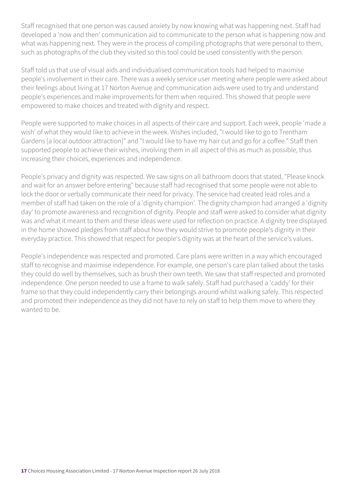Staff recognised that one person was caused anxiety by now knowing what was happening next. Staff had developed a 'now and then' communication aid to communicate to the person what is happening now and what was happening next. They were in the process of compiling photographs that were personal to them, such as photographs of the club they visited so this tool could be used consistently with the person.

Staff told us that use of visual aids and individualised communication tools had helped to maximise people's involvement in their care. There was a weekly service user meeting where people were asked about their feelings about living at 17 Norton Avenue and communication aids were used to try and understand people's experiences and make improvements for them when required. This showed that people were empowered to make choices and treated with dignity and respect.

People were supported to make choices in all aspects of their care and support. Each week, people 'made a wish' of what they would like to achieve in the week. Wishes included, "I would like to go to Trentham Gardens [a local outdoor attraction]" and "I would like to have my hair cut and go for a coffee." Staff then supported people to achieve their wishes, involving them in all aspect of this as much as possible, thus increasing their choices, experiences and independence.

People's privacy and dignity was respected. We saw signs on all bathroom doors that stated, "Please knock and wait for an answer before entering" because staff had recognised that some people were not able to lock the door or verbally communicate their need for privacy. The service had created lead roles and a member of staff had taken on the role of a 'dignity champion'. The dignity champion had arranged a 'dignity day' to promote awareness and recognition of dignity. People and staff were asked to consider what dignity was and what it meant to them and these ideas were used for reflection on practice. A dignity tree displayed in the home showed pledges from staff about how they would strive to promote people's dignity in their everyday practice. This showed that respect for people's dignity was at the heart of the service's values.

People's independence was respected and promoted. Care plans were written in a way which encouraged staff to recognise and maximise independence. For example, one person's care plan talked about the tasks they could do well by themselves, such as brush their own teeth. We saw that staff respected and promoted independence. One person needed to use a frame to walk safely. Staff had purchased a 'caddy' for their frame so that they could independently carry their belongings around whilst walking safely. This respected and promoted their independence as they did not have to rely on staff to help them move to where they wanted to be.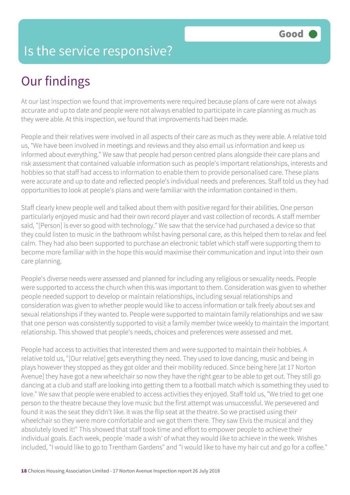#### Is the service responsive?

# Our findings

At our last inspection we found that improvements were required because plans of care were not always accurate and up to date and people were not always enabled to participate in care planning as much as they were able. At this inspection, we found that improvements had been made.

People and their relatives were involved in all aspects of their care as much as they were able. A relative told us, "We have been involved in meetings and reviews and they also email us information and keep us informed about everything." We saw that people had person centred plans alongside their care plans and risk assessment that contained valuable information such as people's important relationships, interests and hobbies so that staff had access to information to enable them to provide personalised care. These plans were accurate and up to date and reflected people's individual needs and preferences. Staff told us they had opportunities to look at people's plans and were familiar with the information contained in them.

Staff clearly knew people well and talked about them with positive regard for their abilities. One person particularly enjoyed music and had their own record player and vast collection of records. A staff member said, "[Person] is ever so good with technology." We saw that the service had purchased a device so that they could listen to music in the bathroom whilst having personal care, as this helped them to relax and feel calm. They had also been supported to purchase an electronic tablet which staff were supporting them to become more familiar with in the hope this would maximise their communication and input into their own care planning.

People's diverse needs were assessed and planned for including any religious or sexuality needs. People were supported to access the church when this was important to them. Consideration was given to whether people needed support to develop or maintain relationships, including sexual relationships and consideration was given to whether people would like to access information or talk freely about sex and sexual relationships if they wanted to. People were supported to maintain family relationships and we saw that one person was consistently supported to visit a family member twice weekly to maintain the important relationship. This showed that people's needs, choices and preferences were assessed and met.

People had access to activities that interested them and were supported to maintain their hobbies. A relative told us, "[Our relative] gets everything they need. They used to love dancing, music and being in plays however they stopped as they got older and their mobility reduced. Since being here [at 17 Norton Avenue] they have got a new wheelchair so now they have the right gear to be able to get out. They still go dancing at a club and staff are looking into getting them to a football match which is something they used to love." We saw that people were enabled to access activities they enjoyed. Staff told us, "We tried to get one person to the theatre because they love music but the first attempt was unsuccessful. We persevered and found it was the seat they didn't like. It was the flip seat at the theatre. So we practised using their wheelchair so they were more comfortable and we got them there. They saw Elvis the musical and they absolutely loved it!" This showed that staff took time and effort to empower people to achieve their individual goals. Each week, people 'made a wish' of what they would like to achieve in the week. Wishes included, "I would like to go to Trentham Gardens" and "I would like to have my hair cut and go for a coffee."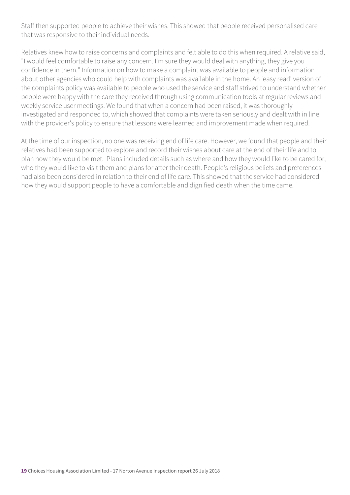Staff then supported people to achieve their wishes. This showed that people received personalised care that was responsive to their individual needs.

Relatives knew how to raise concerns and complaints and felt able to do this when required. A relative said, "I would feel comfortable to raise any concern. I'm sure they would deal with anything, they give you confidence in them." Information on how to make a complaint was available to people and information about other agencies who could help with complaints was available in the home. An 'easy read' version of the complaints policy was available to people who used the service and staff strived to understand whether people were happy with the care they received through using communication tools at regular reviews and weekly service user meetings. We found that when a concern had been raised, it was thoroughly investigated and responded to, which showed that complaints were taken seriously and dealt with in line with the provider's policy to ensure that lessons were learned and improvement made when required.

At the time of our inspection, no one was receiving end of life care. However, we found that people and their relatives had been supported to explore and record their wishes about care at the end of their life and to plan how they would be met. Plans included details such as where and how they would like to be cared for, who they would like to visit them and plans for after their death. People's religious beliefs and preferences had also been considered in relation to their end of life care. This showed that the service had considered how they would support people to have a comfortable and dignified death when the time came.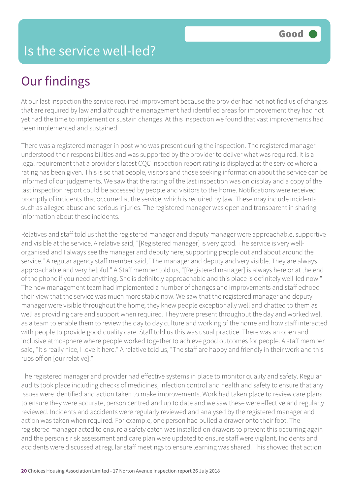# Our findings

At our last inspection the service required improvement because the provider had not notified us of changes that are required by law and although the management had identified areas for improvement they had not yet had the time to implement or sustain changes. At this inspection we found that vast improvements had been implemented and sustained.

There was a registered manager in post who was present during the inspection. The registered manager understood their responsibilities and was supported by the provider to deliver what was required. It is a legal requirement that a provider's latest CQC inspection report rating is displayed at the service where a rating has been given. This is so that people, visitors and those seeking information about the service can be informed of our judgements. We saw that the rating of the last inspection was on display and a copy of the last inspection report could be accessed by people and visitors to the home. Notifications were received promptly of incidents that occurred at the service, which is required by law. These may include incidents such as alleged abuse and serious injuries. The registered manager was open and transparent in sharing information about these incidents.

Relatives and staff told us that the registered manager and deputy manager were approachable, supportive and visible at the service. A relative said, "[Registered manager] is very good. The service is very wellorganised and I always see the manager and deputy here, supporting people out and about around the service." A regular agency staff member said, "The manager and deputy and very visible. They are always approachable and very helpful." A Staff member told us, "[Registered manager] is always here or at the end of the phone if you need anything. She is definitely approachable and this place is definitely well-led now." The new management team had implemented a number of changes and improvements and staff echoed their view that the service was much more stable now. We saw that the registered manager and deputy manager were visible throughout the home; they knew people exceptionally well and chatted to them as well as providing care and support when required. They were present throughout the day and worked well as a team to enable them to review the day to day culture and working of the home and how staff interacted with people to provide good quality care. Staff told us this was usual practice. There was an open and inclusive atmosphere where people worked together to achieve good outcomes for people. A staff member said, "It's really nice, I love it here." A relative told us, "The staff are happy and friendly in their work and this rubs off on [our relative]."

The registered manager and provider had effective systems in place to monitor quality and safety. Regular audits took place including checks of medicines, infection control and health and safety to ensure that any issues were identified and action taken to make improvements. Work had taken place to review care plans to ensure they were accurate, person centred and up to date and we saw these were effective and regularly reviewed. Incidents and accidents were regularly reviewed and analysed by the registered manager and action was taken when required. For example, one person had pulled a drawer onto their foot. The registered manager acted to ensure a safety catch was installed on drawers to prevent this occurring again and the person's risk assessment and care plan were updated to ensure staff were vigilant. Incidents and accidents were discussed at regular staff meetings to ensure learning was shared. This showed that action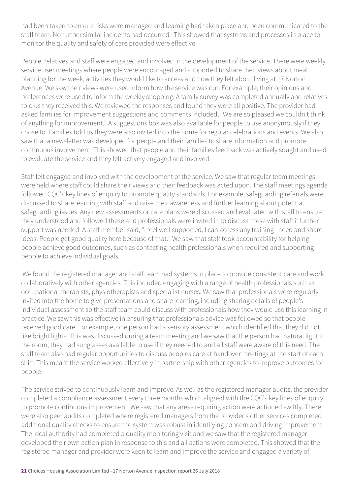had been taken to ensure risks were managed and learning had taken place and been communicated to the staff team. No further similar incidents had occurred. This showed that systems and processes in place to monitor the quality and safety of care provided were effective.

People, relatives and staff were engaged and involved in the development of the service. There were weekly service user meetings where people were encouraged and supported to share their views about meal planning for the week, activities they would like to access and how they felt about living at 17 Norton Avenue. We saw their views were used inform how the service was run. For example, their opinions and preferences were used to inform the weekly shopping. A family survey was completed annually and relatives told us they received this. We reviewed the responses and found they were all positive. The provider had asked families for improvement suggestions and comments included, "We are so pleased we couldn't think of anything for improvement." A suggestions box was also available for people to use anonymously if they chose to. Families told us they were also invited into the home for regular celebrations and events. We also saw that a newsletter was developed for people and their families to share information and promote continuous involvement. This showed that people and their families feedback was actively sought and used to evaluate the service and they felt actively engaged and involved.

Staff felt engaged and involved with the development of the service. We saw that regular team meetings were held where staff could share their views and their feedback was acted upon. The staff meetings agenda followed CQC's key lines of enquiry to promote quality standards. For example, safeguarding referrals were discussed to share learning with staff and raise their awareness and further learning about potential safeguarding issues. Any new assessments or care plans were discussed and evaluated with staff to ensure they understood and followed these and professionals were invited in to discuss these with staff if further support was needed. A staff member said, "I feel well supported. I can access any training I need and share ideas. People get good quality here because of that." We saw that staff took accountability for helping people achieve good outcomes, such as contacting health professionals when required and supporting people to achieve individual goals.

 We found the registered manager and staff team had systems in place to provide consistent care and work collaboratively with other agencies. This included engaging with a range of health professionals such as occupational therapists, physiotherapists and specialist nurses. We saw that professionals were regularly invited into the home to give presentations and share learning, including sharing details of people's individual assessment so the staff team could discuss with professionals how they would use this learning in practice. We saw this was effective in ensuring that professionals advice was followed so that people received good care. For example, one person had a sensory assessment which identified that they did not like bright lights. This was discussed during a team meeting and we saw that the person had natural light in the room, they had sunglasses available to use if they needed to and all staff were aware of this need. The staff team also had regular opportunities to discuss peoples care at handover meetings at the start of each shift. This meant the service worked effectively in partnership with other agencies to improve outcomes for people.

The service strived to continuously learn and improve. As well as the registered manager audits, the provider completed a compliance assessment every three months which aligned with the CQC's key lines of enquiry to promote continuous improvement. We saw that any areas requiring action were actioned swiftly. There were also peer audits completed where registered managers from the provider's other services completed additional quality checks to ensure the system was robust in identifying concern and driving improvement. The local authority had completed a quality monitoring visit and we saw that the registered manager developed their own action plan in response to this and all actions were completed. This showed that the registered manager and provider were keen to learn and improve the service and engaged a variety of